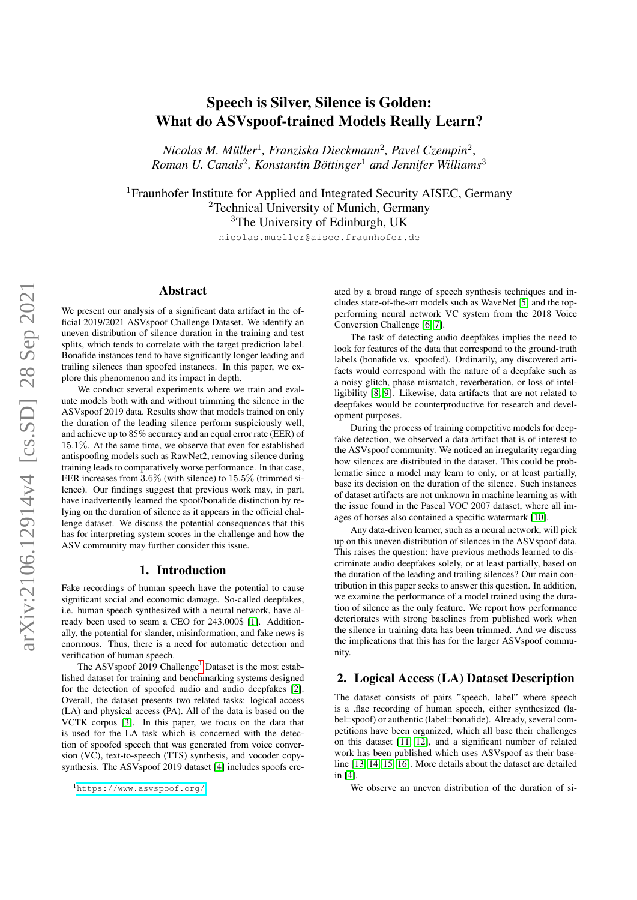# Speech is Silver, Silence is Golden: What do ASVspoof-trained Models Really Learn?

 $Nicolas M. Müller<sup>1</sup>, Franziska Dieckmann<sup>2</sup>, Pavel Czempin<sup>2</sup>,$ *Roman U. Canals*<sup>2</sup> *, Konstantin Bottinger ¨* <sup>1</sup> *and Jennifer Williams*<sup>3</sup>

<sup>1</sup> Fraunhofer Institute for Applied and Integrated Security AISEC, Germany <sup>2</sup>Technical University of Munich, Germany <sup>3</sup>The University of Edinburgh, UK

nicolas.mueller@aisec.fraunhofer.de

# Abstract

We present our analysis of a significant data artifact in the official 2019/2021 ASVspoof Challenge Dataset. We identify an uneven distribution of silence duration in the training and test splits, which tends to correlate with the target prediction label. Bonafide instances tend to have significantly longer leading and trailing silences than spoofed instances. In this paper, we explore this phenomenon and its impact in depth.

We conduct several experiments where we train and evaluate models both with and without trimming the silence in the ASVspoof 2019 data. Results show that models trained on only the duration of the leading silence perform suspiciously well, and achieve up to 85% accuracy and an equal error rate (EER) of 15.1%. At the same time, we observe that even for established antispoofing models such as RawNet2, removing silence during training leads to comparatively worse performance. In that case, EER increases from 3.6% (with silence) to 15.5% (trimmed silence). Our findings suggest that previous work may, in part, have inadvertently learned the spoof/bonafide distinction by relying on the duration of silence as it appears in the official challenge dataset. We discuss the potential consequences that this has for interpreting system scores in the challenge and how the ASV community may further consider this issue.

### 1. Introduction

Fake recordings of human speech have the potential to cause significant social and economic damage. So-called deepfakes, i.e. human speech synthesized with a neural network, have already been used to scam a CEO for 243.000\$ [\[1\]](#page-4-0). Additionally, the potential for slander, misinformation, and fake news is enormous. Thus, there is a need for automatic detection and verification of human speech.

The ASVspoof 20[1](#page-0-0)9 Challenge<sup>1</sup> Dataset is the most established dataset for training and benchmarking systems designed for the detection of spoofed audio and audio deepfakes [\[2\]](#page-4-1). Overall, the dataset presents two related tasks: logical access (LA) and physical access (PA). All of the data is based on the VCTK corpus [\[3\]](#page-4-2). In this paper, we focus on the data that is used for the LA task which is concerned with the detection of spoofed speech that was generated from voice conversion (VC), text-to-speech (TTS) synthesis, and vocoder copysynthesis. The ASVspoof 2019 dataset [\[4\]](#page-4-3) includes spoofs created by a broad range of speech synthesis techniques and includes state-of-the-art models such as WaveNet [\[5\]](#page-4-4) and the topperforming neural network VC system from the 2018 Voice Conversion Challenge [\[6,](#page-4-5) [7\]](#page-4-6).

The task of detecting audio deepfakes implies the need to look for features of the data that correspond to the ground-truth labels (bonafide vs. spoofed). Ordinarily, any discovered artifacts would correspond with the nature of a deepfake such as a noisy glitch, phase mismatch, reverberation, or loss of intelligibility [\[8,](#page-4-7) [9\]](#page-4-8). Likewise, data artifacts that are not related to deepfakes would be counterproductive for research and development purposes.

During the process of training competitive models for deepfake detection, we observed a data artifact that is of interest to the ASVspoof community. We noticed an irregularity regarding how silences are distributed in the dataset. This could be problematic since a model may learn to only, or at least partially, base its decision on the duration of the silence. Such instances of dataset artifacts are not unknown in machine learning as with the issue found in the Pascal VOC 2007 dataset, where all images of horses also contained a specific watermark [\[10\]](#page-4-9).

Any data-driven learner, such as a neural network, will pick up on this uneven distribution of silences in the ASVspoof data. This raises the question: have previous methods learned to discriminate audio deepfakes solely, or at least partially, based on the duration of the leading and trailing silences? Our main contribution in this paper seeks to answer this question. In addition, we examine the performance of a model trained using the duration of silence as the only feature. We report how performance deteriorates with strong baselines from published work when the silence in training data has been trimmed. And we discuss the implications that this has for the larger ASVspoof community.

# 2. Logical Access (LA) Dataset Description

The dataset consists of pairs "speech, label" where speech is a .flac recording of human speech, either synthesized (label=spoof) or authentic (label=bonafide). Already, several competitions have been organized, which all base their challenges on this dataset [\[11,](#page-4-10) [12\]](#page-4-11), and a significant number of related work has been published which uses ASVspoof as their baseline [\[13,](#page-4-12) [14,](#page-4-13) [15,](#page-4-14) [16\]](#page-5-0). More details about the dataset are detailed in [\[4\]](#page-4-3).

We observe an uneven distribution of the duration of si-

<span id="page-0-0"></span><sup>1</sup><https://www.asvspoof.org/>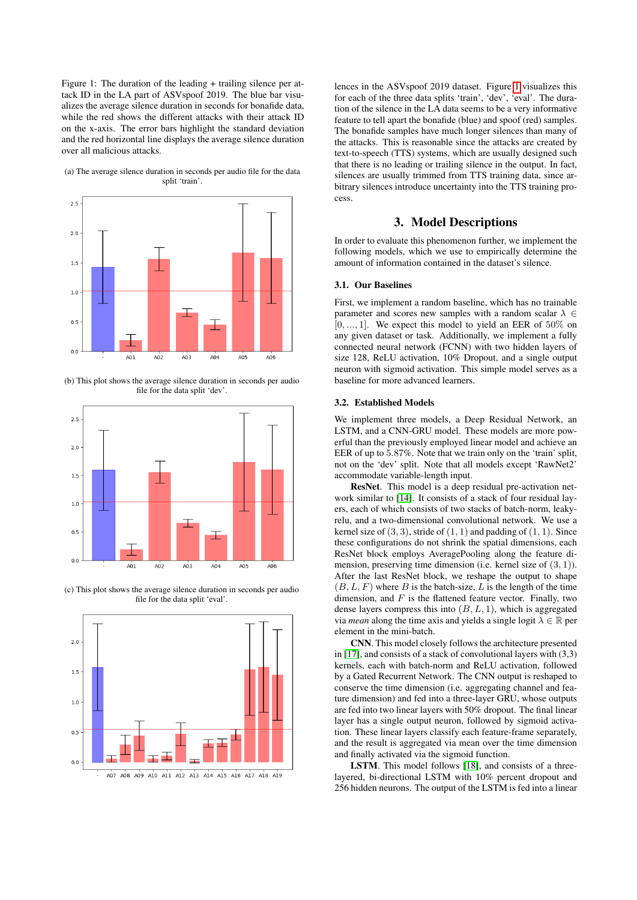Figure 1: The duration of the leading + trailing silence per attack ID in the LA part of ASVspoof 2019. The blue bar visualizes the average silence duration in seconds for bonafide data, while the red shows the different attacks with their attack ID on the x-axis. The error bars highlight the standard deviation and the red horizontal line displays the average silence duration over all malicious attacks.

(a) The average silence duration in seconds per audio file for the data split 'train'.



(b) This plot shows the average silence duration in seconds per audio file for the data split 'dev'.



(c) This plot shows the average silence duration in seconds per audio file for the data split 'eval'.

<span id="page-1-0"></span>

lences in the ASVspoof 2019 dataset. Figure [1](#page-1-0) visualizes this for each of the three data splits 'train', 'dev', 'eval'. The duration of the silence in the LA data seems to be a very informative feature to tell apart the bonafide (blue) and spoof (red) samples. The bonafide samples have much longer silences than many of the attacks. This is reasonable since the attacks are created by text-to-speech (TTS) systems, which are usually designed such that there is no leading or trailing silence in the output. In fact, silences are usually trimmed from TTS training data, since arbitrary silences introduce uncertainty into the TTS training process.

# 3. Model Descriptions

In order to evaluate this phenomenon further, we implement the following models, which we use to empirically determine the amount of information contained in the dataset's silence.

### <span id="page-1-1"></span>3.1. Our Baselines

First, we implement a random baseline, which has no trainable parameter and scores new samples with a random scalar  $\lambda \in$ [0, ..., 1]. We expect this model to yield an EER of 50% on any given dataset or task. Additionally, we implement a fully connected neural network (FCNN) with two hidden layers of size 128, ReLU activation, 10% Dropout, and a single output neuron with sigmoid activation. This simple model serves as a baseline for more advanced learners.

### 3.2. Established Models

We implement three models, a Deep Residual Network, an LSTM, and a CNN-GRU model. These models are more powerful than the previously employed linear model and achieve an EER of up to 5.87%. Note that we train only on the 'train' split, not on the 'dev' split. Note that all models except 'RawNet2' accommodate variable-length input.

ResNet. This model is a deep residual pre-activation network similar to [\[14\]](#page-4-13). It consists of a stack of four residual layers, each of which consists of two stacks of batch-norm, leakyrelu, and a two-dimensional convolutional network. We use a kernel size of  $(3, 3)$ , stride of  $(1, 1)$  and padding of  $(1, 1)$ . Since these configurations do not shrink the spatial dimensions, each ResNet block employs AveragePooling along the feature dimension, preserving time dimension (i.e. kernel size of  $(3, 1)$ ). After the last ResNet block, we reshape the output to shape  $(B, L, F)$  where B is the batch-size, L is the length of the time dimension, and  $F$  is the flattened feature vector. Finally, two dense layers compress this into  $(B, L, 1)$ , which is aggregated via *mean* along the time axis and yields a single logit  $\lambda \in \mathbb{R}$  per element in the mini-batch.

CNN. This model closely follows the architecture presented in [\[17\]](#page-5-1), and consists of a stack of convolutional layers with (3,3) kernels, each with batch-norm and ReLU activation, followed by a Gated Recurrent Network. The CNN output is reshaped to conserve the time dimension (i.e. aggregating channel and feature dimension) and fed into a three-layer GRU, whose outputs are fed into two linear layers with 50% dropout. The final linear layer has a single output neuron, followed by sigmoid activation. These linear layers classify each feature-frame separately, and the result is aggregated via mean over the time dimension and finally activated via the sigmoid function.

LSTM. This model follows [\[18\]](#page-5-2), and consists of a threelayered, bi-directional LSTM with 10% percent dropout and 256 hidden neurons. The output of the LSTM is fed into a linear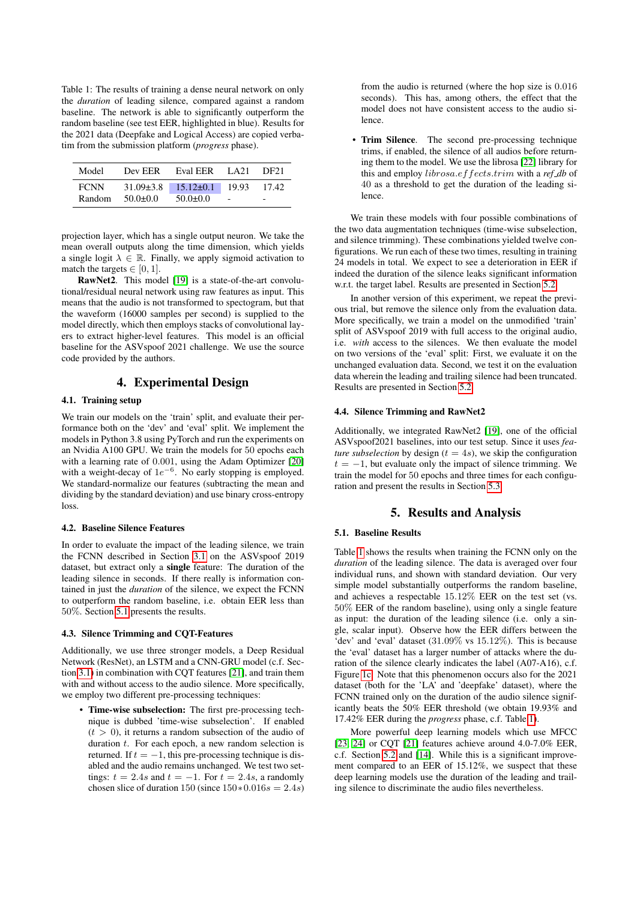<span id="page-2-1"></span>Table 1: The results of training a dense neural network on only the *duration* of leading silence, compared against a random baseline. The network is able to significantly outperform the random baseline (see test EER, highlighted in blue). Results for the 2021 data (Deepfake and Logical Access) are copied verbatim from the submission platform (*progress* phase).

| Model                 | Dev EER                         | Eval EER                        | TA21  | DF21  |
|-----------------------|---------------------------------|---------------------------------|-------|-------|
| <b>FCNN</b><br>Random | $31.09\pm3.8$<br>$50.0 \pm 0.0$ | $15.12\pm0.1$<br>$50.0 \pm 0.0$ | 19.93 | 17.42 |

projection layer, which has a single output neuron. We take the mean overall outputs along the time dimension, which yields a single logit  $\lambda \in \mathbb{R}$ . Finally, we apply sigmoid activation to match the targets  $\in [0, 1]$ .

RawNet2. This model [\[19\]](#page-5-3) is a state-of-the-art convolutional/residual neural network using raw features as input. This means that the audio is not transformed to spectogram, but that the waveform (16000 samples per second) is supplied to the model directly, which then employs stacks of convolutional layers to extract higher-level features. This model is an official baseline for the ASVspoof 2021 challenge. We use the source code provided by the authors.

# 4. Experimental Design

### 4.1. Training setup

We train our models on the 'train' split, and evaluate their performance both on the 'dev' and 'eval' split. We implement the models in Python 3.8 using PyTorch and run the experiments on an Nvidia A100 GPU. We train the models for 50 epochs each with a learning rate of 0.001, using the Adam Optimizer [\[20\]](#page-5-4) with a weight-decay of  $1e^{-6}$ . No early stopping is employed. We standard-normalize our features (subtracting the mean and dividing by the standard deviation) and use binary cross-entropy loss.

### 4.2. Baseline Silence Features

In order to evaluate the impact of the leading silence, we train the FCNN described in Section [3.1](#page-1-1) on the ASVspoof 2019 dataset, but extract only a single feature: The duration of the leading silence in seconds. If there really is information contained in just the *duration* of the silence, we expect the FCNN to outperform the random baseline, i.e. obtain EER less than 50%. Section [5.1](#page-2-0) presents the results.

### <span id="page-2-2"></span>4.3. Silence Trimming and CQT-Features

Additionally, we use three stronger models, a Deep Residual Network (ResNet), an LSTM and a CNN-GRU model (c.f. Section [3.1\)](#page-1-1) in combination with CQT features [\[21\]](#page-5-5), and train them with and without access to the audio silence. More specifically, we employ two different pre-processing techniques:

• Time-wise subselection: The first pre-processing technique is dubbed 'time-wise subselection'. If enabled  $(t > 0)$ , it returns a random subsection of the audio of duration  $t$ . For each epoch, a new random selection is returned. If  $t = -1$ , this pre-processing technique is disabled and the audio remains unchanged. We test two settings:  $t = 2.4s$  and  $t = -1$ . For  $t = 2.4s$ , a randomly chosen slice of duration 150 (since  $150*0.016s = 2.4s$ ) from the audio is returned (where the hop size is 0.016 seconds). This has, among others, the effect that the model does not have consistent access to the audio silence.

• Trim Silence. The second pre-processing technique trims, if enabled, the silence of all audios before returning them to the model. We use the librosa [\[22\]](#page-5-6) library for this and employ librosa.effects.trim with a *ref db* of 40 as a threshold to get the duration of the leading silence.

We train these models with four possible combinations of the two data augmentation techniques (time-wise subselection, and silence trimming). These combinations yielded twelve configurations. We run each of these two times, resulting in training 24 models in total. We expect to see a deterioration in EER if indeed the duration of the silence leaks significant information w.r.t. the target label. Results are presented in Section [5.2.](#page-3-0)

In another version of this experiment, we repeat the previous trial, but remove the silence only from the evaluation data. More specifically, we train a model on the unmodified 'train' split of ASVspoof 2019 with full access to the original audio, i.e. *with* access to the silences. We then evaluate the model on two versions of the 'eval' split: First, we evaluate it on the unchanged evaluation data. Second, we test it on the evaluation data wherein the leading and trailing silence had been truncated. Results are presented in Section [5.2.](#page-3-0)

#### 4.4. Silence Trimming and RawNet2

Additionally, we integrated RawNet2 [\[19\]](#page-5-3), one of the official ASVspoof2021 baselines, into our test setup. Since it uses *feature subselection* by design ( $t = 4s$ ), we skip the configuration  $t = -1$ , but evaluate only the impact of silence trimming. We train the model for 50 epochs and three times for each configuration and present the results in Section [5.3.](#page-3-1)

## 5. Results and Analysis

### <span id="page-2-0"></span>5.1. Baseline Results

Table [1](#page-2-1) shows the results when training the FCNN only on the *duration* of the leading silence. The data is averaged over four individual runs, and shown with standard deviation. Our very simple model substantially outperforms the random baseline, and achieves a respectable 15.12% EER on the test set (vs. 50% EER of the random baseline), using only a single feature as input: the duration of the leading silence (i.e. only a single, scalar input). Observe how the EER differs between the 'dev' and 'eval' dataset (31.09% vs 15.12%). This is because the 'eval' dataset has a larger number of attacks where the duration of the silence clearly indicates the label (A07-A16), c.f. Figure [1c.](#page-1-0) Note that this phenomenon occurs also for the 2021 dataset (both for the 'LA' and 'deepfake' dataset), where the FCNN trained only on the duration of the audio silence significantly beats the 50% EER threshold (we obtain 19.93% and 17.42% EER during the *progress* phase, c.f. Table [1\)](#page-2-1).

More powerful deep learning models which use MFCC [\[23,](#page-5-7) [24\]](#page-5-8) or CQT [\[21\]](#page-5-5) features achieve around 4.0-7.0% EER, c.f. Section [5.2](#page-3-0) and [\[14\]](#page-4-13). While this is a significant improvement compared to an EER of 15.12%, we suspect that these deep learning models use the duration of the leading and trailing silence to discriminate the audio files nevertheless.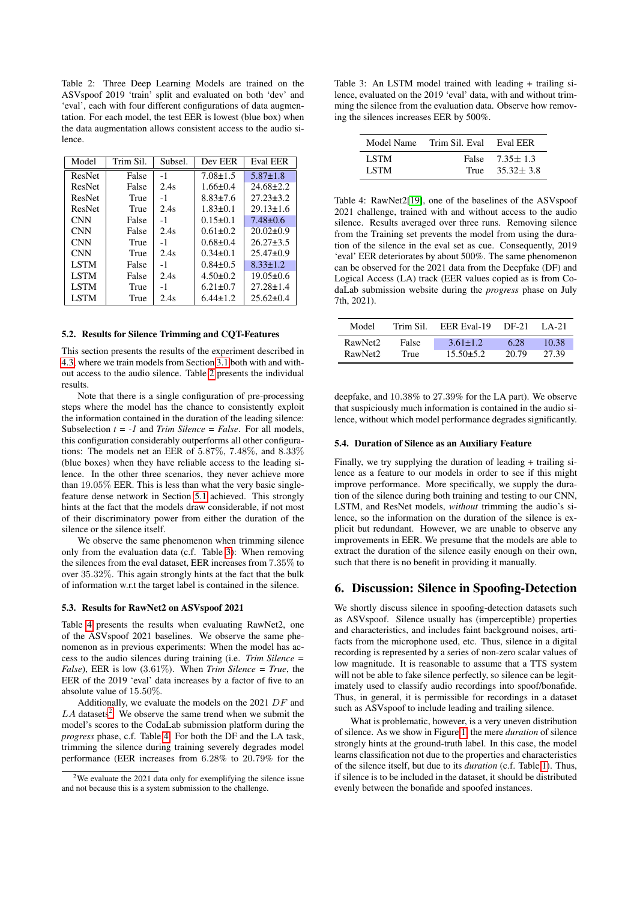<span id="page-3-2"></span>Table 2: Three Deep Learning Models are trained on the ASVspoof 2019 'train' split and evaluated on both 'dev' and 'eval', each with four different configurations of data augmentation. For each model, the test EER is lowest (blue box) when the data augmentation allows consistent access to the audio silence.

| Model       | Trim Sil. | Subsel. | Dev EER        | Eval EER        |
|-------------|-----------|---------|----------------|-----------------|
| ResNet      | False     | $-1$    | $7.08 \pm 1.5$ | $5.87 \pm 1.8$  |
| ResNet      | False     | 2.4s    | $1.66 \pm 0.4$ | $24.68 \pm 2.2$ |
| ResNet      | True      | $-1$    | $8.83 \pm 7.6$ | $27.23 \pm 3.2$ |
| ResNet      | True      | 2.4s    | $1.83 \pm 0.1$ | $29.13 \pm 1.6$ |
| <b>CNN</b>  | False     | $-1$    | $0.15 \pm 0.1$ | $7.48 \pm 0.6$  |
| <b>CNN</b>  | False     | 2.4s    | $0.61 \pm 0.2$ | $20.02 \pm 0.9$ |
| <b>CNN</b>  | True      | $-1$    | $0.68 \pm 0.4$ | $26.27 \pm 3.5$ |
| <b>CNN</b>  | True      | 2.4s    | $0.34\pm0.1$   | $25.47\pm0.9$   |
| <b>LSTM</b> | False     | $-1$    | $0.84 \pm 0.5$ | $8.33 \pm 1.2$  |
| <b>LSTM</b> | False     | 2.4s    | $4.50 \pm 0.2$ | $19.05 \pm 0.6$ |
| <b>LSTM</b> | True      | $-1$    | $6.21 \pm 0.7$ | $27.28 \pm 1.4$ |
| <b>LSTM</b> | True      | 2.4s    | $6.44 \pm 1.2$ | $25.62 \pm 0.4$ |

### <span id="page-3-0"></span>5.2. Results for Silence Trimming and CQT-Features

This section presents the results of the experiment described in [4.3,](#page-2-2) where we train models from Section [3.1](#page-1-1) both with and without access to the audio silence. Table [2](#page-3-2) presents the individual results.

Note that there is a single configuration of pre-processing steps where the model has the chance to consistently exploit the information contained in the duration of the leading silence: Subselection *t = -1* and *Trim Silence = False*. For all models, this configuration considerably outperforms all other configurations: The models net an EER of 5.87%, 7.48%, and 8.33% (blue boxes) when they have reliable access to the leading silence. In the other three scenarios, they never achieve more than 19.05% EER. This is less than what the very basic singlefeature dense network in Section [5.1](#page-2-0) achieved. This strongly hints at the fact that the models draw considerable, if not most of their discriminatory power from either the duration of the silence or the silence itself.

We observe the same phenomenon when trimming silence only from the evaluation data (c.f. Table [3\)](#page-3-3): When removing the silences from the eval dataset, EER increases from 7.35% to over 35.32%. This again strongly hints at the fact that the bulk of information w.r.t the target label is contained in the silence.

#### <span id="page-3-1"></span>5.3. Results for RawNet2 on ASVspoof 2021

Table [4](#page-3-4) presents the results when evaluating RawNet2, one of the ASVspoof 2021 baselines. We observe the same phenomenon as in previous experiments: When the model has access to the audio silences during training (i.e. *Trim Silence = False*), EER is low (3.61%). When *Trim Silence = True*, the EER of the 2019 'eval' data increases by a factor of five to an absolute value of 15.50%.

Additionally, we evaluate the models on the 2021 DF and  $LA$  datasets<sup>[2](#page-3-5)</sup>. We observe the same trend when we submit the model's scores to the CodaLab submission platform during the *progress* phase, c.f. Table [4:](#page-3-4) For both the DF and the LA task, trimming the silence during training severely degrades model performance (EER increases from 6.28% to 20.79% for the

<span id="page-3-3"></span>Table 3: An LSTM model trained with leading + trailing silence, evaluated on the 2019 'eval' data, with and without trimming the silence from the evaluation data. Observe how removing the silences increases EER by 500%.

|                            | Model Name Trim Sil. Eval Eval EER |                                            |
|----------------------------|------------------------------------|--------------------------------------------|
| <b>LSTM</b><br><b>LSTM</b> |                                    | False $7.35 + 1.3$<br>True $35.32 \pm 3.8$ |

<span id="page-3-4"></span>Table 4: RawNet2[\[19\]](#page-5-3), one of the baselines of the ASVspoof 2021 challenge, trained with and without access to the audio silence. Results averaged over three runs. Removing silence from the Training set prevents the model from using the duration of the silence in the eval set as cue. Consequently, 2019 'eval' EER deteriorates by about 500%. The same phenomenon can be observed for the 2021 data from the Deepfake (DF) and Logical Access (LA) track (EER values copied as is from CodaLab submission website during the *progress* phase on July 7th, 2021).

| Model               | Trim Sil. | EER Eval-19    | DF-21 | $LA-21$ |
|---------------------|-----------|----------------|-------|---------|
| RawNet <sub>2</sub> | False     | $3.61 \pm 1.2$ | 6.28  | 10.38   |
| RawNet <sub>2</sub> | True      | $15.50 + 5.2$  | 20.79 | 27.39   |

deepfake, and 10.38% to 27.39% for the LA part). We observe that suspiciously much information is contained in the audio silence, without which model performance degrades significantly.

#### 5.4. Duration of Silence as an Auxiliary Feature

Finally, we try supplying the duration of leading + trailing silence as a feature to our models in order to see if this might improve performance. More specifically, we supply the duration of the silence during both training and testing to our CNN, LSTM, and ResNet models, *without* trimming the audio's silence, so the information on the duration of the silence is explicit but redundant. However, we are unable to observe any improvements in EER. We presume that the models are able to extract the duration of the silence easily enough on their own, such that there is no benefit in providing it manually.

### 6. Discussion: Silence in Spoofing-Detection

We shortly discuss silence in spoofing-detection datasets such as ASVspoof. Silence usually has (imperceptible) properties and characteristics, and includes faint background noises, artifacts from the microphone used, etc. Thus, silence in a digital recording is represented by a series of non-zero scalar values of low magnitude. It is reasonable to assume that a TTS system will not be able to fake silence perfectly, so silence can be legitimately used to classify audio recordings into spoof/bonafide. Thus, in general, it is permissible for recordings in a dataset such as ASVspoof to include leading and trailing silence.

What is problematic, however, is a very uneven distribution of silence. As we show in Figure [1,](#page-1-0) the mere *duration* of silence strongly hints at the ground-truth label. In this case, the model learns classification not due to the properties and characteristics of the silence itself, but due to its *duration* (c.f. Table [1\)](#page-2-1). Thus, if silence is to be included in the dataset, it should be distributed evenly between the bonafide and spoofed instances.

<span id="page-3-5"></span> $2$ We evaluate the 2021 data only for exemplifying the silence issue and not because this is a system submission to the challenge.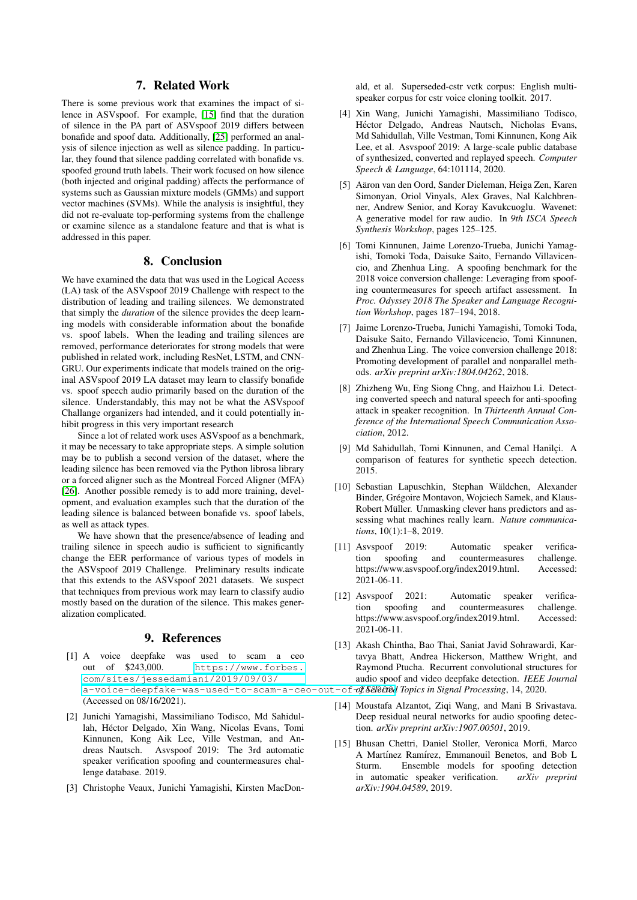# 7. Related Work

There is some previous work that examines the impact of silence in ASVspoof. For example, [\[15\]](#page-4-14) find that the duration of silence in the PA part of ASVspoof 2019 differs between bonafide and spoof data. Additionally, [\[25\]](#page-5-9) performed an analysis of silence injection as well as silence padding. In particular, they found that silence padding correlated with bonafide vs. spoofed ground truth labels. Their work focused on how silence (both injected and original padding) affects the performance of systems such as Gaussian mixture models (GMMs) and support vector machines (SVMs). While the analysis is insightful, they did not re-evaluate top-performing systems from the challenge or examine silence as a standalone feature and that is what is addressed in this paper.

# 8. Conclusion

We have examined the data that was used in the Logical Access (LA) task of the ASVspoof 2019 Challenge with respect to the distribution of leading and trailing silences. We demonstrated that simply the *duration* of the silence provides the deep learning models with considerable information about the bonafide vs. spoof labels. When the leading and trailing silences are removed, performance deteriorates for strong models that were published in related work, including ResNet, LSTM, and CNN-GRU. Our experiments indicate that models trained on the original ASVspoof 2019 LA dataset may learn to classify bonafide vs. spoof speech audio primarily based on the duration of the silence. Understandably, this may not be what the ASVspoof Challange organizers had intended, and it could potentially inhibit progress in this very important research

Since a lot of related work uses ASVspoof as a benchmark, it may be necessary to take appropriate steps. A simple solution may be to publish a second version of the dataset, where the leading silence has been removed via the Python librosa library or a forced aligner such as the Montreal Forced Aligner (MFA) [\[26\]](#page-5-10). Another possible remedy is to add more training, development, and evaluation examples such that the duration of the leading silence is balanced between bonafide vs. spoof labels, as well as attack types.

We have shown that the presence/absence of leading and trailing silence in speech audio is sufficient to significantly change the EER performance of various types of models in the ASVspoof 2019 Challenge. Preliminary results indicate that this extends to the ASVspoof 2021 datasets. We suspect that techniques from previous work may learn to classify audio mostly based on the duration of the silence. This makes generalization complicated.

### 9. References

- <span id="page-4-0"></span>[1] A voice deepfake was used to scam a ceo out of \$243,000. [https://www.forbes.](https://www.forbes.com/sites/jessedamiani/2019/09/03/a-voice-deepfake-was-used-to-scam-a-ceo-out-of-243000) [com/sites/jessedamiani/2019/09/03/](https://www.forbes.com/sites/jessedamiani/2019/09/03/a-voice-deepfake-was-used-to-scam-a-ceo-out-of-243000) a-voice-deepfake-was-used-to-scam-a-ceo-out-of-of Belected Topics in Signal Processing, 14, 2020. (Accessed on 08/16/2021).
- <span id="page-4-1"></span>[2] Junichi Yamagishi, Massimiliano Todisco, Md Sahidullah, Hector Delgado, Xin Wang, Nicolas Evans, Tomi ´ Kinnunen, Kong Aik Lee, Ville Vestman, and Andreas Nautsch. Asvspoof 2019: The 3rd automatic speaker verification spoofing and countermeasures challenge database. 2019.
- <span id="page-4-2"></span>[3] Christophe Veaux, Junichi Yamagishi, Kirsten MacDon-

ald, et al. Superseded-cstr vctk corpus: English multispeaker corpus for cstr voice cloning toolkit. 2017.

- <span id="page-4-3"></span>[4] Xin Wang, Junichi Yamagishi, Massimiliano Todisco, Héctor Delgado, Andreas Nautsch, Nicholas Evans, Md Sahidullah, Ville Vestman, Tomi Kinnunen, Kong Aik Lee, et al. Asvspoof 2019: A large-scale public database of synthesized, converted and replayed speech. *Computer Speech & Language*, 64:101114, 2020.
- <span id="page-4-4"></span>[5] Aäron van den Oord, Sander Dieleman, Heiga Zen, Karen Simonyan, Oriol Vinyals, Alex Graves, Nal Kalchbrenner, Andrew Senior, and Koray Kavukcuoglu. Wavenet: A generative model for raw audio. In *9th ISCA Speech Synthesis Workshop*, pages 125–125.
- <span id="page-4-5"></span>[6] Tomi Kinnunen, Jaime Lorenzo-Trueba, Junichi Yamagishi, Tomoki Toda, Daisuke Saito, Fernando Villavicencio, and Zhenhua Ling. A spoofing benchmark for the 2018 voice conversion challenge: Leveraging from spoofing countermeasures for speech artifact assessment. In *Proc. Odyssey 2018 The Speaker and Language Recognition Workshop*, pages 187–194, 2018.
- <span id="page-4-6"></span>[7] Jaime Lorenzo-Trueba, Junichi Yamagishi, Tomoki Toda, Daisuke Saito, Fernando Villavicencio, Tomi Kinnunen, and Zhenhua Ling. The voice conversion challenge 2018: Promoting development of parallel and nonparallel methods. *arXiv preprint arXiv:1804.04262*, 2018.
- <span id="page-4-7"></span>[8] Zhizheng Wu, Eng Siong Chng, and Haizhou Li. Detecting converted speech and natural speech for anti-spoofing attack in speaker recognition. In *Thirteenth Annual Conference of the International Speech Communication Association*, 2012.
- <span id="page-4-8"></span>[9] Md Sahidullah, Tomi Kinnunen, and Cemal Hanilçi. A comparison of features for synthetic speech detection. 2015.
- <span id="page-4-9"></span>[10] Sebastian Lapuschkin, Stephan Wäldchen, Alexander Binder, Grégoire Montavon, Wojciech Samek, and Klaus-Robert Müller. Unmasking clever hans predictors and assessing what machines really learn. *Nature communications*, 10(1):1–8, 2019.
- <span id="page-4-10"></span>[11] Asvspoof 2019: Automatic speaker verification spoofing and countermeasures challenge. https://www.asvspoof.org/index2019.html. Accessed: 2021-06-11.
- <span id="page-4-11"></span>[12] Asvspoof 2021: Automatic speaker verification spoofing and countermeasures challenge. https://www.asvspoof.org/index2019.html. Accessed: 2021-06-11.
- <span id="page-4-12"></span>[13] Akash Chintha, Bao Thai, Saniat Javid Sohrawardi, Kartavya Bhatt, Andrea Hickerson, Matthew Wright, and Raymond Ptucha. Recurrent convolutional structures for audio spoof and video deepfake detection. *IEEE Journal*
- <span id="page-4-14"></span><span id="page-4-13"></span>
	- [14] Moustafa Alzantot, Ziqi Wang, and Mani B Srivastava. Deep residual neural networks for audio spoofing detection. *arXiv preprint arXiv:1907.00501*, 2019.
	- [15] Bhusan Chettri, Daniel Stoller, Veronica Morfi, Marco A Martínez Ramírez, Emmanouil Benetos, and Bob L Sturm. Ensemble models for spoofing detection in automatic speaker verification. *arXiv preprint arXiv:1904.04589*, 2019.